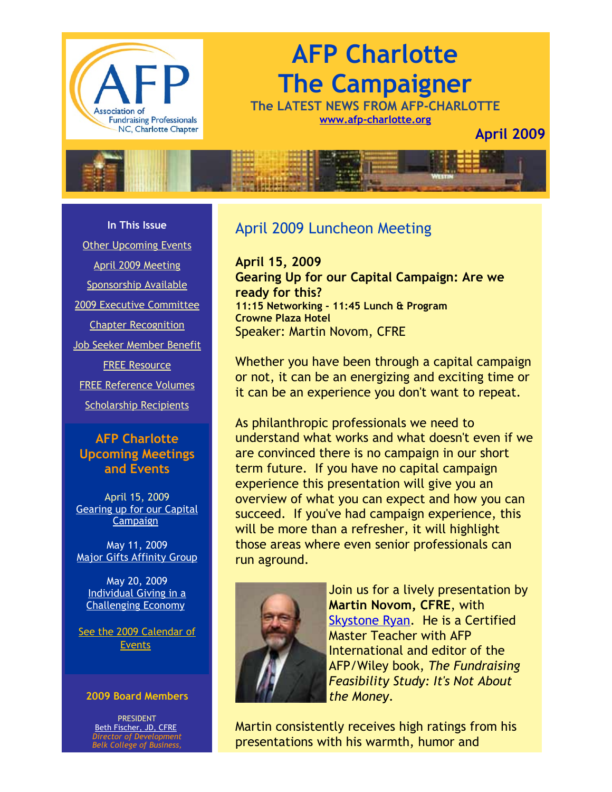

# **AFP Charlotte The Campaigner**

**The LATEST NEWS FROM AFP-CHARLOTTE [www.afp-charlotte.org](http://www.afp-charlotte.org/)**

**April 2009**



**In This Issue**

[Other Upcoming Events](http://archive.constantcontact.com/fs051/1101610725496/archive/1102506016749.html#LETTER.BLOCK7)

[April 2009 Meeting](http://archive.constantcontact.com/fs051/1101610725496/archive/1102506016749.html#LETTER.BLOCK9) [Sponsorship Available](http://archive.constantcontact.com/fs051/1101610725496/archive/1102506016749.html#LETTER.BLOCK11) [2009 Executive Committee](http://archive.constantcontact.com/fs051/1101610725496/archive/1102506016749.html#LETTER.BLOCK12) [Chapter Recognition](http://archive.constantcontact.com/fs051/1101610725496/archive/1102506016749.html#LETTER.BLOCK15) [Job Seeker Member Benefit](http://archive.constantcontact.com/fs051/1101610725496/archive/1102506016749.html#LETTER.BLOCK17) [FREE Resource](http://archive.constantcontact.com/fs051/1101610725496/archive/1102506016749.html#LETTER.BLOCK26) [FREE Reference Volumes](http://archive.constantcontact.com/fs051/1101610725496/archive/1102506016749.html#LETTER.BLOCK19)

[Scholarship Recipients](http://archive.constantcontact.com/fs051/1101610725496/archive/1102506016749.html#LETTER.BLOCK25)

### **AFP Charlotte Upcoming Meetings and Events**

April 15, 2009 [Gearing up for our Capital](http://www.afp-charlotte.org/rsvp_details.html?id=2219) **Campaign** 

May 11, 2009 [Major Gifts Affinity Group](http://www.afp-charlotte.org/rsvp_details.html?id=2310)

May 20, 2009 Individual Giving in a [Challenging Economy](http://www.afp-charlotte.org/rsvp_details.html?id=2220)

[See the 2009 Calendar of](http://www.afp-charlotte.org/rsvp.html) Events

#### **2009 Board Members**

PRESIDENT [Beth Fischer, JD, CFRE](mailto:beth.fischer@uncc.edu) *Director of Development Belk College of Business,*

### April 2009 Luncheon Meeting

**April 15, 2009 Gearing Up for our Capital Campaign: Are we ready for this? 11:15 Networking - 11:45 Lunch & Program Crowne Plaza Hotel**  Speaker: Martin Novom, CFRE

Whether you have been through a capital campaign or not, it can be an energizing and exciting time or it can be an experience you don't want to repeat.

As philanthropic professionals we need to understand what works and what doesn't even if we are convinced there is no campaign in our short term future. If you have no capital campaign experience this presentation will give you an overview of what you can expect and how you can succeed. If you've had campaign experience, this will be more than a refresher, it will highlight those areas where even senior professionals can run aground.



Join us for a lively presentation by **Martin Novom, CFRE**, with [Skystone Ryan.](http://www.skystoneryan.com/) He is a Certified Master Teacher with AFP International and editor of the AFP/Wiley book, *The Fundraising Feasibility Study: It's Not About the Money*.

Martin consistently receives high ratings from his presentations with his warmth, humor and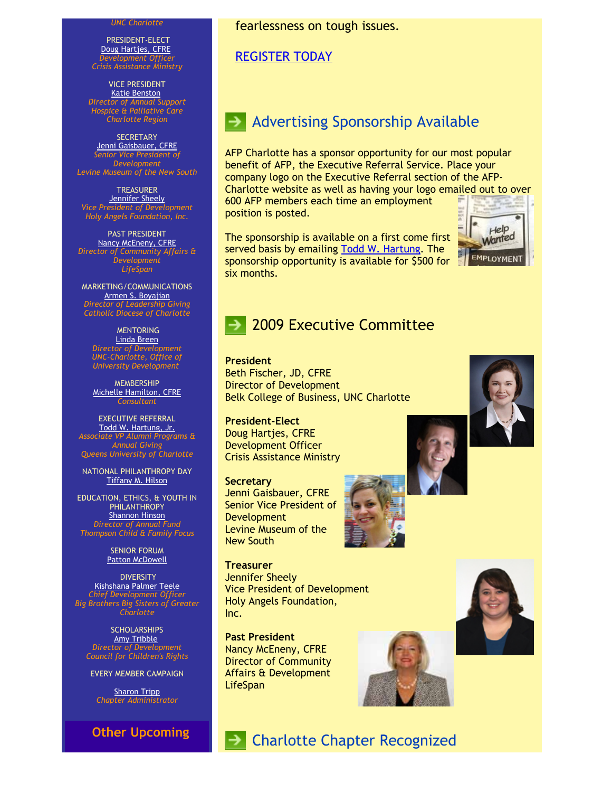#### *UNC Charlotte*

PRESIDENT-ELECT [Doug Hartjes, CFRE](mailto:dhartjes@crisisassistance.org) *Development Officer Crisis Assistance Ministry*

VICE PRESIDENT [Katie Benston](mailto:benstonk@hpccr.org) *Director of Annual Support Hospice & Palliative Care Charlotte Region*

**SECRETARY** [Jenni Gaisbauer, CFRE](mailto:jgaisbauer@museumofthenewsouth.org) *Senior Vice President of Development Levine Museum of the New South*

**TREASURER [Jennifer Sheely](mailto:jennifers@holyangelsnc.org)** *Vice President of Development Holy Angels Foundation, Inc.*

PAST PRESIDENT [Nancy McEneny, CFRE](mailto:nmceneny@lifespanservices.org) *Director of Community Affairs & Development LifeSpan*

MARKETING/COMMUNICATIONS [Armen S. Boyajian](mailto:asboyajian@charlottediocese.org) *Director of Leadership Giving Catholic Diocese of Charlotte*

MENTORING [Linda Breen](mailto:lbreen@uncc.edu) *Director of Development UNC-Charlotte, Office of University Development*

MEMBERSHIP [Michelle Hamilton, CFRE](mailto:michelle@michellehamiltononline.com) *Consultant*

EXECUTIVE REFERRAL [Todd W. Hartung, Jr.](mailto:Hartungt@queens.edu) *Associate VP Alumni Programs & Annual Giving Queens University of Charlotte*

NATIONAL PHILANTHROPY DAY [Tiffany M. Hilson](mailto:tiffanyhilson@yahoo.com)

EDUCATION, ETHICS, & YOUTH IN PHILANTHROPY [Shannon Hinson](mailto:shinson@thompsoncff.org) *Director of Annual Fund Thompson Child & Family Focus*

> SENIOR FORUM [Patton McDowell](mailto:pattonmcd@aol.com)

**DIVERSITY** [Kishshana Palmer Teele](mailto:kishshana.teele@gmail.com) *Chief Development Officer Big Brothers Big Sisters of Greater Charlotte*

**SCHOLARSHIPS** [Amy Tribble](mailto:amy@cfcrights.org) *Director of Development Council for Children's Rights*

EVERY MEMBER CAMPAIGN

**[Sharon Tripp](mailto:info@afp-charlotte.org)** *Chapter Administrator*

**Other Upcoming**

#### fearlessness on tough issues.

#### [REGISTER TODAY](http://www.afp-charlotte.org/rsvp_details.html?id=2219)

### Advertising Sponsorship Available

AFP Charlotte has a sponsor opportunity for our most popular benefit of AFP, the Executive Referral Service. Place your company logo on the Executive Referral section of the AFP-Charlotte website as well as having your logo emailed out to over

600 AFP members each time an employment position is posted.

The sponsorship is available on a first come first served basis by emailing [Todd W. Hartung.](mailto:Hartungt@queens.edu) The sponsorship opportunity is available for \$500 for six months.



### 2009 Executive Committee

**President** Beth Fischer, JD, CFRE Director of Development Belk College of Business, UNC Charlotte

**President-Elect** Doug Hartjes, CFRE Development Officer Crisis Assistance Ministry

**Secretary**

Inc.

Jenni Gaisbauer, CFRE Senior Vice President of Development Levine Museum of the New South



**Treasurer** Jennifer Sheely Vice President of Development Holy Angels Foundation,

→ Charlotte Chapter Recognized

**Past President** Nancy McEneny, CFRE Director of Community Affairs & Development **LifeSpan** 





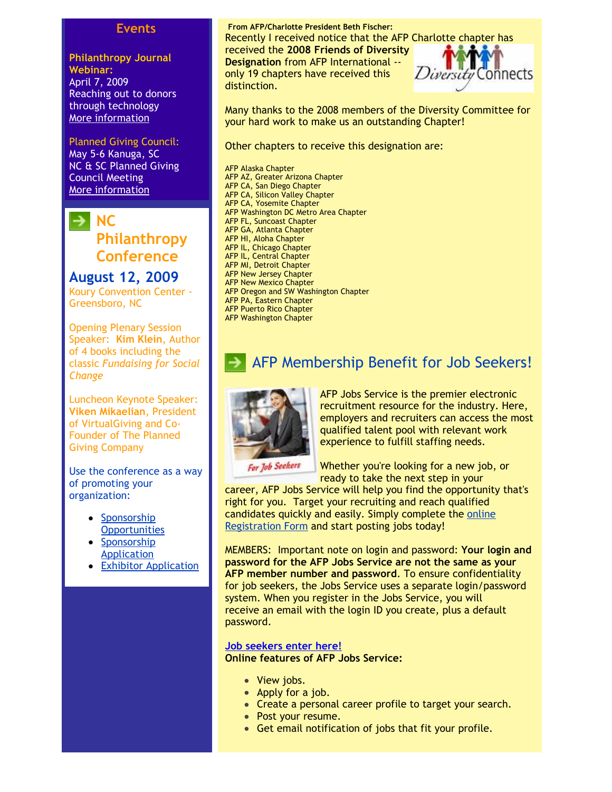#### **Events**

**Philanthropy Journal Webinar:** April 7, 2009 Reaching out to donors through technology [More information](http://www.philanthropyjournal.org/nonprofit-webinars)

#### Planned Giving Council:

May 5-6 Kanuga, SC NC & SC Planned Giving Council Meeting [More information](http://www.ncpgc.org/page3.html)



**August 12, 2009** Koury Convention Center - Greensboro, NC

Opening Plenary Session Speaker: **Kim Klein**, Author of 4 books including the classic *Fundaising for Social Change*

Luncheon Keynote Speaker: **Viken Mikaelian**, President of VirtualGiving and Co-Founder of The Planned Giving Company

Use the conference as a way of promoting your organization:

- **Sponsorship [Opportunities](http://www.afp-charlotte.org/customers/102012921065393/filemanager/2009_Sponsorship_Opps.pdf)**
- [Sponsorship](http://www.afp-charlotte.org/customers/102012921065393/filemanager/2009_Sponsorship_Application.doc) Application
- [Exhibitor Application](http://www.afp-charlotte.org/customers/102012921065393/filemanager/2009_Exhibitor_Registration.doc)

**From AFP/Charlotte President Beth Fischer:** Recently I received notice that the AFP Charlotte chapter has received the **2008 Friends of Diversity Designation** from AFP International - only 19 chapters have received this distinction.

Connects

Many thanks to the 2008 members of the Diversity Committee for your hard work to make us an outstanding Chapter!

Other chapters to receive this designation are:

AFP Alaska Chapter AFP AZ, Greater Arizona Chapter AFP CA, San Diego Chapter AFP CA, Silicon Valley Chapter AFP CA, Yosemite Chapter AFP Washington DC Metro Area Chapter AFP FL, Suncoast Chapter AFP GA, Atlanta Chapter AFP HI, Aloha Chapter AFP IL, Chicago Chapter AFP IL, Central Chapter AFP MI, Detroit Chapter AFP New Jersey Chapter AFP New Mexico Chapter AFP Oregon and SW Washington Chapter AFP PA, Eastern Chapter AFP Puerto Rico Chapter AFP Washington Chapter

### AFP Membership Benefit for Job Seekers!



AFP Jobs Service is the premier electronic recruitment resource for the industry. Here, employers and recruiters can access the most qualified talent pool with relevant work experience to fulfill staffing needs.

Whether you're looking for a new job, or ready to take the next step in your

career, AFP Jobs Service will help you find the opportunity that's right for you. Target your recruiting and reach qualified [candidates quickly and easily. Simply complete the online](http://afpnet.jobcontrolcenter.com/jobseekers/profile/index.cfm) Registration Form and start posting jobs today!

MEMBERS: Important note on login and password: **Your login and password for the AFP Jobs Service are not the same as your AFP member number and password**. To ensure confidentiality for job seekers, the Jobs Service uses a separate login/password system. When you register in the Jobs Service, you will receive an email with the login ID you create, plus a default password.

#### **[Job seekers enter here!](http://afpnet.jobcontrolcenter.com/search.cfm)**

**Online features of AFP Jobs Service:**

- View jobs.
- Apply for a job.
- Create a personal career profile to target your search.
- Post your resume.
- Get email notification of jobs that fit your profile.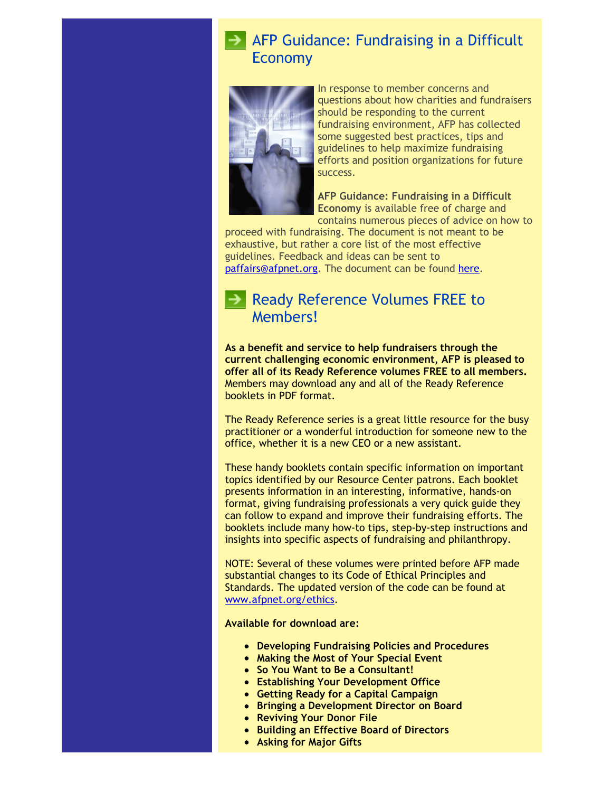### **AFP Guidance: Fundraising in a Difficult** Economy



In response to member concerns and questions about how charities and fundraisers should be responding to the current fundraising environment, AFP has collected some suggested best practices, tips and guidelines to help maximize fundraising efforts and position organizations for future success.

**AFP Guidance: Fundraising in a Difficult Economy** is available free of charge and contains numerous pieces of advice on how to

proceed with fundraising. The document is not meant to be exhaustive, but rather a core list of the most effective guidelines. Feedback and ideas can be sent to [paffairs@afpnet.org.](mailto:paffairs@afpnet.org) The document can be found [here.](http://www.afpnet.org/ka/ka-3.cfm?content_item_id=24836&folder_id=914)

### Ready Reference Volumes FREE to Members!

**As a benefit and service to help fundraisers through the current challenging economic environment, AFP is pleased to offer all of its Ready Reference volumes FREE to all members.** Members may download any and all of the Ready Reference booklets in PDF format.

The Ready Reference series is a great little resource for the busy practitioner or a wonderful introduction for someone new to the office, whether it is a new CEO or a new assistant.

These handy booklets contain specific information on important topics identified by our Resource Center patrons. Each booklet presents information in an interesting, informative, hands-on format, giving fundraising professionals a very quick guide they can follow to expand and improve their fundraising efforts. The booklets include many how-to tips, step-by-step instructions and insights into specific aspects of fundraising and philanthropy.

NOTE: Several of these volumes were printed before AFP made substantial changes to its Code of Ethical Principles and Standards. The updated version of the code can be found at [www.afpnet.org/ethics.](http://www.afpnet.org/ethics)

**Available for download are:**

- **Developing Fundraising Policies and Procedures**
- **Making the Most of Your Special Event**
- **So You Want to Be a Consultant!**
- **Establishing Your Development Office**
- **Getting Ready for a Capital Campaign**
- **Bringing a Development Director on Board**
- **Reviving Your Donor File**
- **Building an Effective Board of Directors**
- **Asking for Major Gifts**